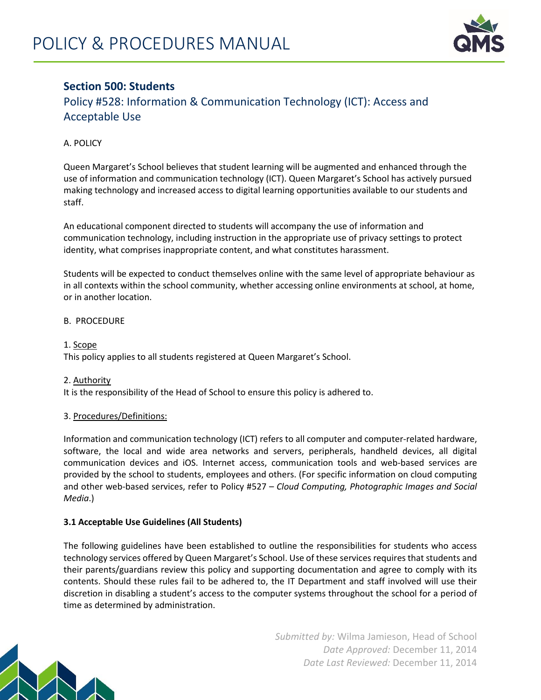

# **Section 500: Students**

Policy #528: Information & Communication Technology (ICT): Access and Acceptable Use

A. POLICY

Queen Margaret's School believes that student learning will be augmented and enhanced through the use of information and communication technology (ICT). Queen Margaret's School has actively pursued making technology and increased access to digital learning opportunities available to our students and staff.

An educational component directed to students will accompany the use of information and communication technology, including instruction in the appropriate use of privacy settings to protect identity, what comprises inappropriate content, and what constitutes harassment.

Students will be expected to conduct themselves online with the same level of appropriate behaviour as in all contexts within the school community, whether accessing online environments at school, at home, or in another location.

## B. PROCEDURE

1. Scope

This policy applies to all students registered at Queen Margaret's School.

### 2. Authority

It is the responsibility of the Head of School to ensure this policy is adhered to.

## 3. Procedures/Definitions:

Information and communication technology (ICT) refers to all computer and computer-related hardware, software, the local and wide area networks and servers, peripherals, handheld devices, all digital communication devices and iOS. Internet access, communication tools and web-based services are provided by the school to students, employees and others. (For specific information on cloud computing and other web-based services, refer to Policy #527 – *Cloud Computing, Photographic Images and Social Media*.)

## **3.1 Acceptable Use Guidelines (All Students)**

The following guidelines have been established to outline the responsibilities for students who access technology services offered by Queen Margaret's School. Use of these services requires that students and their parents/guardians review this policy and supporting documentation and agree to comply with its contents. Should these rules fail to be adhered to, the IT Department and staff involved will use their discretion in disabling a student's access to the computer systems throughout the school for a period of time as determined by administration.



*Submitted by:* Wilma Jamieson, Head of School *Date Approved:* December 11, 2014 *Date Last Reviewed:* December 11, 2014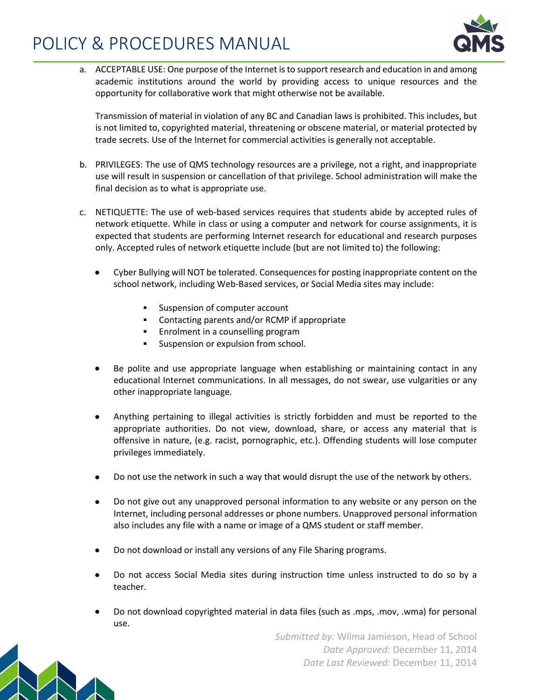# POLICY & PROCEDURES MANUAL



a. ACCEPTABLE USE: One purpose of the Internet is to support research and education in and among academic institutions around the world by providing access to unique resources and the opportunity for collaborative work that might otherwise not be available.

Transmission of material in violation of any BC and Canadian laws is prohibited. This includes, but is not limited to, copyrighted material, threatening or obscene material, or material protected by trade secrets. Use of the Internet for commercial activities is generally not acceptable.

- b. PRIVILEGES: The use of QMS technology resources are a privilege, not a right, and inappropriate use will result in suspension or cancellation of that privilege. School administration will make the final decision as to what is appropriate use.
- c. NETIQUETTE: The use of web-based services requires that students abide by accepted rules of network etiquette. While in class or using a computer and network for course assignments, it is expected that students are performing Internet research for educational and research purposes only. Accepted rules of network etiquette include (but are not limited to) the following:
	- Cyber Bullying will NOT be tolerated. Consequences for posting inappropriate content on the school network, including Web-Based services, or Social Media sites may include:
		- **Suspension of computer account**
		- Contacting parents and/or RCMP if appropriate
		- Enrolment in a counselling program
		- Suspension or expulsion from school.
	- Be polite and use appropriate language when establishing or maintaining contact in any educational Internet communications. In all messages, do not swear, use vulgarities or any other inappropriate language.
	- Anything pertaining to illegal activities is strictly forbidden and must be reported to the appropriate authorities. Do not view, download, share, or access any material that is offensive in nature, (e.g. racist, pornographic, etc.). Offending students will lose computer privileges immediately.
	- Do not use the network in such a way that would disrupt the use of the network by others.
	- Do not give out any unapproved personal information to any website or any person on the Internet, including personal addresses or phone numbers. Unapproved personal information also includes any file with a name or image of a QMS student or staff member.
	- Do not download or install any versions of any File Sharing programs.
	- Do not access Social Media sites during instruction time unless instructed to do so by a teacher.
	- Do not download copyrighted material in data files (such as .mps, .mov, .wma) for personal use.

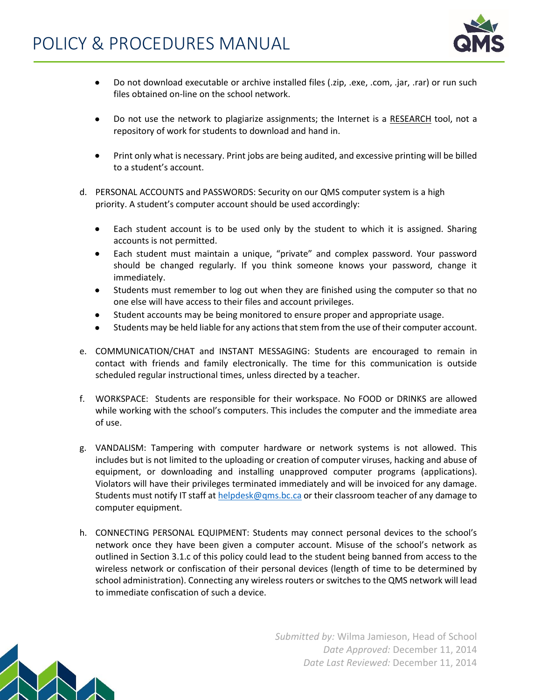

- Do not download executable or archive installed files (.zip, .exe, .com, .jar, .rar) or run such files obtained on-line on the school network.
- Do not use the network to plagiarize assignments; the Internet is a RESEARCH tool, not a repository of work for students to download and hand in.
- Print only what is necessary. Print jobs are being audited, and excessive printing will be billed to a student's account.
- d. PERSONAL ACCOUNTS and PASSWORDS: Security on our QMS computer system is a high priority. A student's computer account should be used accordingly:
	- Each student account is to be used only by the student to which it is assigned. Sharing accounts is not permitted.
	- Each student must maintain a unique, "private" and complex password. Your password should be changed regularly. If you think someone knows your password, change it immediately.
	- Students must remember to log out when they are finished using the computer so that no one else will have access to their files and account privileges.
	- Student accounts may be being monitored to ensure proper and appropriate usage.
	- Students may be held liable for any actions that stem from the use of their computer account.
- e. COMMUNICATION/CHAT and INSTANT MESSAGING: Students are encouraged to remain in contact with friends and family electronically. The time for this communication is outside scheduled regular instructional times, unless directed by a teacher.
- f. WORKSPACE: Students are responsible for their workspace. No FOOD or DRINKS are allowed while working with the school's computers. This includes the computer and the immediate area of use.
- g. VANDALISM: Tampering with computer hardware or network systems is not allowed. This includes but is not limited to the uploading or creation of computer viruses, hacking and abuse of equipment, or downloading and installing unapproved computer programs (applications). Violators will have their privileges terminated immediately and will be invoiced for any damage. Students must notify IT staff a[t helpdesk@qms.bc.ca](mailto:helpdesk@qms.bc.ca) or their classroom teacher of any damage to computer equipment.
- h. CONNECTING PERSONAL EQUIPMENT: Students may connect personal devices to the school's network once they have been given a computer account. Misuse of the school's network as outlined in Section 3.1.c of this policy could lead to the student being banned from access to the wireless network or confiscation of their personal devices (length of time to be determined by school administration). Connecting any wireless routers or switches to the QMS network will lead to immediate confiscation of such a device.



*Submitted by:* Wilma Jamieson, Head of School *Date Approved:* December 11, 2014 *Date Last Reviewed:* December 11, 2014